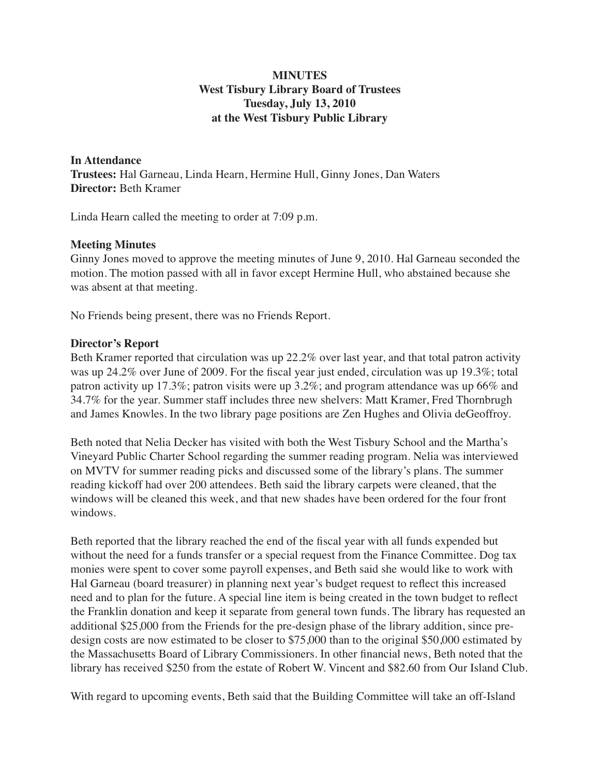# **MINUTES West Tisbury Library Board of Trustees Tuesday, July 13, 2010 at the West Tisbury Public Library**

**In Attendance Trustees:** Hal Garneau, Linda Hearn, Hermine Hull, Ginny Jones, Dan Waters **Director:** Beth Kramer

Linda Hearn called the meeting to order at 7:09 p.m.

### **Meeting Minutes**

Ginny Jones moved to approve the meeting minutes of June 9, 2010. Hal Garneau seconded the motion. The motion passed with all in favor except Hermine Hull, who abstained because she was absent at that meeting.

No Friends being present, there was no Friends Report.

### **Director's Report**

Beth Kramer reported that circulation was up 22.2% over last year, and that total patron activity was up 24.2% over June of 2009. For the fiscal year just ended, circulation was up 19.3%; total patron activity up 17.3%; patron visits were up 3.2%; and program attendance was up 66% and 34.7% for the year. Summer staff includes three new shelvers: Matt Kramer, Fred Thornbrugh and James Knowles. In the two library page positions are Zen Hughes and Olivia deGeoffroy.

Beth noted that Nelia Decker has visited with both the West Tisbury School and the Martha's Vineyard Public Charter School regarding the summer reading program. Nelia was interviewed on MVTV for summer reading picks and discussed some of the library's plans. The summer reading kickoff had over 200 attendees. Beth said the library carpets were cleaned, that the windows will be cleaned this week, and that new shades have been ordered for the four front windows.

Beth reported that the library reached the end of the fiscal year with all funds expended but without the need for a funds transfer or a special request from the Finance Committee. Dog tax monies were spent to cover some payroll expenses, and Beth said she would like to work with Hal Garneau (board treasurer) in planning next year's budget request to reflect this increased need and to plan for the future. A special line item is being created in the town budget to reflect the Franklin donation and keep it separate from general town funds. The library has requested an additional \$25,000 from the Friends for the pre-design phase of the library addition, since predesign costs are now estimated to be closer to \$75,000 than to the original \$50,000 estimated by the Massachusetts Board of Library Commissioners. In other financial news, Beth noted that the library has received \$250 from the estate of Robert W. Vincent and \$82.60 from Our Island Club.

With regard to upcoming events, Beth said that the Building Committee will take an off-Island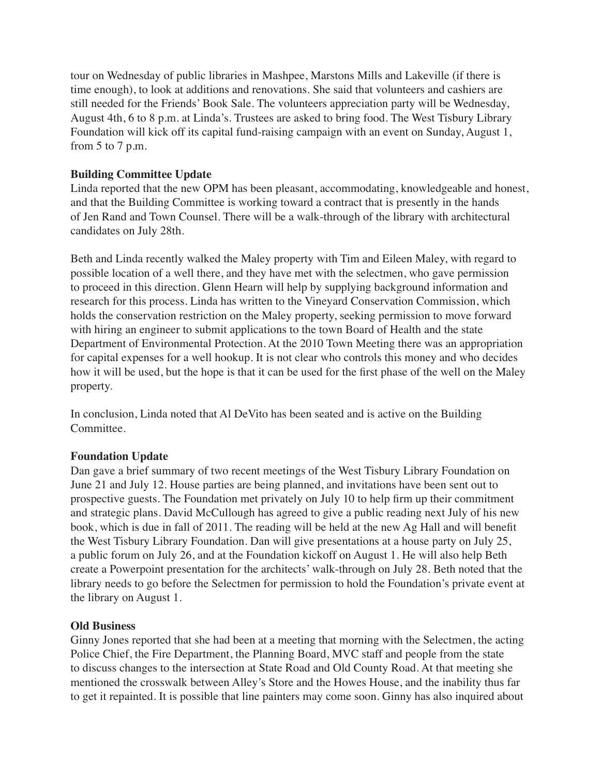tour on Wednesday of public libraries in Mashpee, Marstons Mills and Lakeville (if there is time enough), to look at additions and renovations. She said that volunteers and cashiers are still needed for the Friends' Book Sale. The volunteers appreciation party will be Wednesday, August 4th, 6 to 8 p.m. at Linda's. Trustees are asked to bring food. The West Tisbury Library Foundation will kick off its capital fund-raising campaign with an event on Sunday, August 1, from  $5$  to  $7$  p.m.

# **Building Committee Update**

Linda reported that the new OPM has been pleasant, accommodating, knowledgeable and honest, and that the Building Committee is working toward a contract that is presently in the hands of Jen Rand and Town Counsel. There will be a walk-through of the library with architectural candidates on July 28th.

Beth and Linda recently walked the Maley property with Tim and Eileen Maley, with regard to possible location of a well there, and they have met with the selectmen, who gave permission to proceed in this direction. Glenn Hearn will help by supplying background information and research for this process. Linda has written to the Vineyard Conservation Commission, which holds the conservation restriction on the Maley property, seeking permission to move forward with hiring an engineer to submit applications to the town Board of Health and the state Department of Environmental Protection. At the 2010 Town Meeting there was an appropriation for capital expenses for a well hookup. It is not clear who controls this money and who decides how it will be used, but the hope is that it can be used for the first phase of the well on the Maley property.

In conclusion, Linda noted that Al DeVito has been seated and is active on the Building Committee.

## **Foundation Update**

Dan gave a brief summary of two recent meetings of the West Tisbury Library Foundation on June 21 and July 12. House parties are being planned, and invitations have been sent out to prospective guests. The Foundation met privately on July 10 to help firm up their commitment and strategic plans. David McCullough has agreed to give a public reading next July of his new book, which is due in fall of 2011. The reading will be held at the new Ag Hall and will benefit the West Tisbury Library Foundation. Dan will give presentations at a house party on July 25, a public forum on July 26, and at the Foundation kickoff on August 1. He will also help Beth create a Powerpoint presentation for the architects' walk-through on July 28. Beth noted that the library needs to go before the Selectmen for permission to hold the Foundation's private event at the library on August 1.

## **Old Business**

Ginny Jones reported that she had been at a meeting that morning with the Selectmen, the acting Police Chief, the Fire Department, the Planning Board, MVC staff and people from the state to discuss changes to the intersection at State Road and Old County Road. At that meeting she mentioned the crosswalk between Alley's Store and the Howes House, and the inability thus far to get it repainted. It is possible that line painters may come soon. Ginny has also inquired about